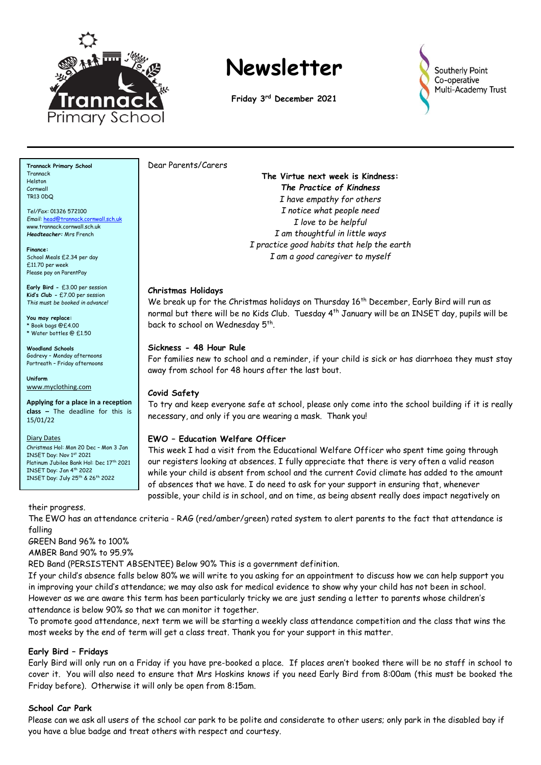

# **Newsletter**

**Friday 3 rd December 2021**



**Trannack Primary School Trannack** Helston Cornwall TR13 0DQ

*Tel/Fax:* 01326 572100 *Email:* [head@trannack.cornwall.sch.uk](mailto:head@trannack.cornwall.sch.uk) www.trannack.cornwall.sch.uk *Headteacher:* Mrs French

**Finance:** School Meals £2.34 per day £11.70 per week Please pay on ParentPay

**Early Bird -** £3.00 per session **Kid's Club -** £7.00 per session *This must be booked in advance!*

**You may replace:** Book bags @£4.00 \* Water bottles @ £1.50

**Woodland Schools** Godrevy – Monday afternoons Portreath – Friday afternoons

**Uniform** [www.myclothing.com](http://www.myclothing.com/)

**Applying for a place in a reception class –** The deadline for this is 15/01/22

Diary Dates

Christmas Hol: Mon 20 Dec – Mon 3 Jan INSET Day: Nov 1st 2021 Platinum Jubilee Bank Hol: Dec 17th 2021 INSET Day: Jan 4th 2022 INSET Day: July 25th & 26th 2022

#### their progress.

The EWO has an attendance criteria - RAG (red/amber/green) rated system to alert parents to the fact that attendance is

falling GREEN Band 96% to 100%

AMBER Band 90% to 95.9%

RED Band (PERSISTENT ABSENTEE) Below 90% This is a government definition.

If your child's absence falls below 80% we will write to you asking for an appointment to discuss how we can help support you in improving your child's attendance; we may also ask for medical evidence to show why your child has not been in school. However as we are aware this term has been particularly tricky we are just sending a letter to parents whose children's attendance is below 90% so that we can monitor it together.

To promote good attendance, next term we will be starting a weekly class attendance competition and the class that wins the most weeks by the end of term will get a class treat. Thank you for your support in this matter.

**Early Bird – Fridays**

Early Bird will only run on a Friday if you have pre-booked a place. If places aren't booked there will be no staff in school to cover it. You will also need to ensure that Mrs Hoskins knows if you need Early Bird from 8:00am (this must be booked the Friday before). Otherwise it will only be open from 8:15am.

# **School Car Park**

Please can we ask all users of the school car park to be polite and considerate to other users; only park in the disabled bay if you have a blue badge and treat others with respect and courtesy.

Dear Parents/Carers

**The Virtue next week is Kindness:** *The Practice of Kindness I have empathy for others I notice what people need I love to be helpful I am thoughtful in little ways I practice good habits that help the earth I am a good caregiver to myself*

# **Christmas Holidays**

We break up for the Christmas holidays on Thursday 16<sup>th</sup> December, Early Bird will run as normal but there will be no Kids Club. Tuesday 4th January will be an INSET day, pupils will be back to school on Wednesday 5<sup>th</sup>.

#### **Sickness - 48 Hour Rule**

For families new to school and a reminder, if your child is sick or has diarrhoea they must stay away from school for 48 hours after the last bout.

# **Covid Safety**

To try and keep everyone safe at school, please only come into the school building if it is really necessary, and only if you are wearing a mask. Thank you!

# **EWO – Education Welfare Officer**

This week I had a visit from the Educational Welfare Officer who spent time going through our registers looking at absences. I fully appreciate that there is very often a valid reason while your child is absent from school and the current Covid climate has added to the amount of absences that we have. I do need to ask for your support in ensuring that, whenever possible, your child is in school, and on time, as being absent really does impact negatively on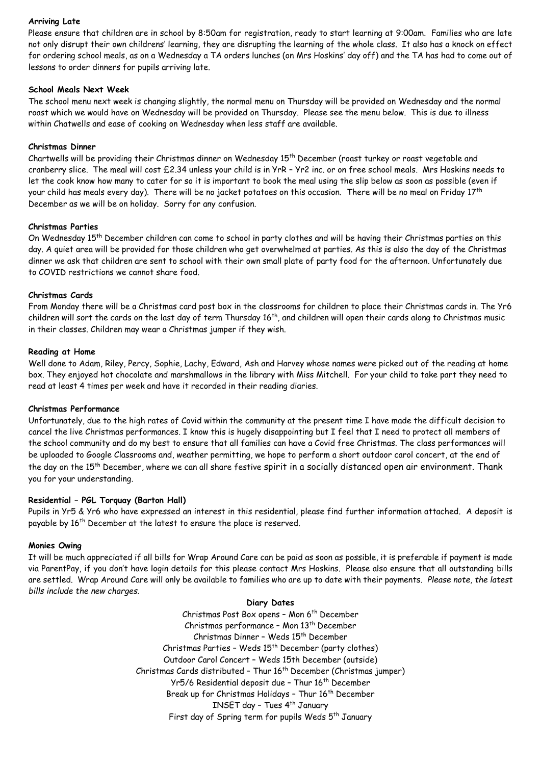#### **Arriving Late**

Please ensure that children are in school by 8:50am for registration, ready to start learning at 9:00am. Families who are late not only disrupt their own childrens' learning, they are disrupting the learning of the whole class. It also has a knock on effect for ordering school meals, as on a Wednesday a TA orders lunches (on Mrs Hoskins' day off) and the TA has had to come out of lessons to order dinners for pupils arriving late.

#### **School Meals Next Week**

The school menu next week is changing slightly, the normal menu on Thursday will be provided on Wednesday and the normal roast which we would have on Wednesday will be provided on Thursday. Please see the menu below. This is due to illness within Chatwells and ease of cooking on Wednesday when less staff are available.

#### **Christmas Dinner**

Chartwells will be providing their Christmas dinner on Wednesday 15<sup>th</sup> December (roast turkey or roast vegetable and cranberry slice. The meal will cost £2.34 unless your child is in YrR – Yr2 inc. or on free school meals. Mrs Hoskins needs to let the cook know how many to cater for so it is important to book the meal using the slip below as soon as possible (even if your child has meals every day). There will be no jacket potatoes on this occasion. There will be no meal on Friday 17<sup>th</sup> December as we will be on holiday. Sorry for any confusion.

#### **Christmas Parties**

On Wednesday 15th December children can come to school in party clothes and will be having their Christmas parties on this day. A quiet area will be provided for those children who get overwhelmed at parties. As this is also the day of the Christmas dinner we ask that children are sent to school with their own small plate of party food for the afternoon. Unfortunately due to COVID restrictions we cannot share food.

#### **Christmas Cards**

From Monday there will be a Christmas card post box in the classrooms for children to place their Christmas cards in. The Yr6 children will sort the cards on the last day of term Thursday 16<sup>th</sup>, and children will open their cards along to Christmas music in their classes. Children may wear a Christmas jumper if they wish.

#### **Reading at Home**

Well done to Adam, Riley, Percy, Sophie, Lachy, Edward, Ash and Harvey whose names were picked out of the reading at home box. They enjoyed hot chocolate and marshmallows in the library with Miss Mitchell. For your child to take part they need to read at least 4 times per week and have it recorded in their reading diaries.

#### **Christmas Performance**

Unfortunately, due to the high rates of Covid within the community at the present time I have made the difficult decision to cancel the live Christmas performances. I know this is hugely disappointing but I feel that I need to protect all members of the school community and do my best to ensure that all families can have a Covid free Christmas. The class performances will be uploaded to Google Classrooms and, weather permitting, we hope to perform a short outdoor carol concert, at the end of the day on the 15<sup>th</sup> December, where we can all share festive spirit in a socially distanced open air environment. Thank you for your understanding.

#### **Residential – PGL Torquay (Barton Hall)**

Pupils in Yr5 & Yr6 who have expressed an interest in this residential, please find further information attached. A deposit is payable by 16<sup>th</sup> December at the latest to ensure the place is reserved.

#### **Monies Owing**

It will be much appreciated if all bills for Wrap Around Care can be paid as soon as possible, it is preferable if payment is made via ParentPay, if you don't have login details for this please contact Mrs Hoskins. Please also ensure that all outstanding bills are settled. Wrap Around Care will only be available to families who are up to date with their payments*. Please note, the latest bills include the new charges.*

#### **Diary Dates**

Christmas Post Box opens - Mon 6<sup>th</sup> December Christmas performance - Mon 13<sup>th</sup> December Christmas Dinner - Weds 15<sup>th</sup> December Christmas Parties - Weds 15<sup>th</sup> December (party clothes) Outdoor Carol Concert – Weds 15th December (outside) Christmas Cards distributed – Thur 16th December (Christmas jumper) Yr5/6 Residential deposit due - Thur 16<sup>th</sup> December Break up for Christmas Holidays - Thur 16<sup>th</sup> December INSET day – Tues 4 th January First day of Spring term for pupils Weds 5<sup>th</sup> January